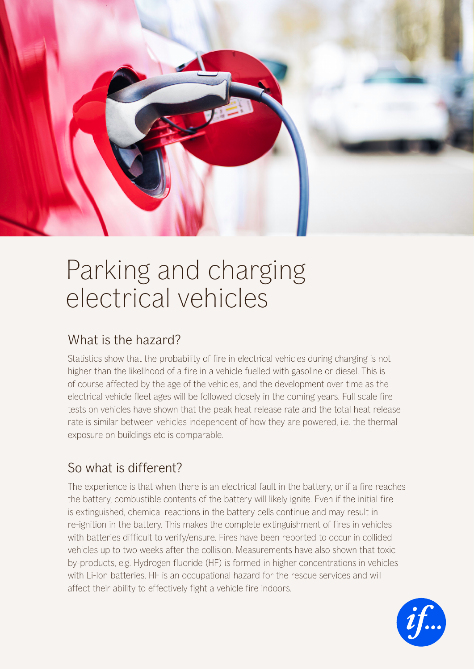

# Parking and charging electrical vehicles

# What is the hazard?

Statistics show that the probability of fire in electrical vehicles during charging is not higher than the likelihood of a fire in a vehicle fuelled with gasoline or diesel. This is of course affected by the age of the vehicles, and the development over time as the electrical vehicle fleet ages will be followed closely in the coming years. Full scale fire tests on vehicles have shown that the peak heat release rate and the total heat release rate is similar between vehicles independent of how they are powered, i.e. the thermal exposure on buildings etc is comparable.

# So what is different?

The experience is that when there is an electrical fault in the battery, or if a fire reaches the battery, combustible contents of the battery will likely ignite. Even if the initial fire is extinguished, chemical reactions in the battery cells continue and may result in re-ignition in the battery. This makes the complete extinguishment of fires in vehicles with batteries difficult to verify/ensure. Fires have been reported to occur in collided vehicles up to two weeks after the collision. Measurements have also shown that toxic by-products, e.g. Hydrogen fluoride (HF) is formed in higher concentrations in vehicles with Li-Ion batteries. HF is an occupational hazard for the rescue services and will affect their ability to effectively fight a vehicle fire indoors.

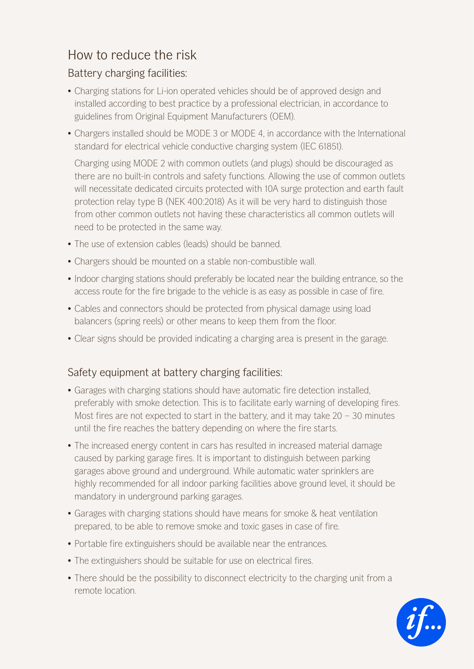## How to reduce the risk

### Battery charging facilities:

- Charging stations for Li-ion operated vehicles should be of approved design and installed according to best practice by a professional electrician, in accordance to guidelines from Original Equipment Manufacturers (OEM).
- Chargers installed should be MODE 3 or MODE 4, in accordance with the International standard for electrical vehicle conductive charging system (IEC 61851).

Charging using MODE 2 with common outlets (and plugs) should be discouraged as there are no built-in controls and safety functions. Allowing the use of common outlets will necessitate dedicated circuits protected with 10A surge protection and earth fault protection relay type B (NEK 400:2018) As it will be very hard to distinguish those from other common outlets not having these characteristics all common outlets will need to be protected in the same way.

- The use of extension cables (leads) should be banned.
- Chargers should be mounted on a stable non-combustible wall.
- Indoor charging stations should preferably be located near the building entrance, so the access route for the fire brigade to the vehicle is as easy as possible in case of fire.
- Cables and connectors should be protected from physical damage using load balancers (spring reels) or other means to keep them from the floor.
- Clear signs should be provided indicating a charging area is present in the garage.

#### Safety equipment at battery charging facilities:

- Garages with charging stations should have automatic fire detection installed, preferably with smoke detection. This is to facilitate early warning of developing fires. Most fires are not expected to start in the battery, and it may take  $20 - 30$  minutes until the fire reaches the battery depending on where the fire starts.
- The increased energy content in cars has resulted in increased material damage caused by parking garage fires. It is important to distinguish between parking garages above ground and underground. While automatic water sprinklers are highly recommended for all indoor parking facilities above ground level, it should be mandatory in underground parking garages.
- Garages with charging stations should have means for smoke & heat ventilation prepared, to be able to remove smoke and toxic gases in case of fire.
- Portable fire extinguishers should be available near the entrances.
- The extinguishers should be suitable for use on electrical fires.
- There should be the possibility to disconnect electricity to the charging unit from a remote location.